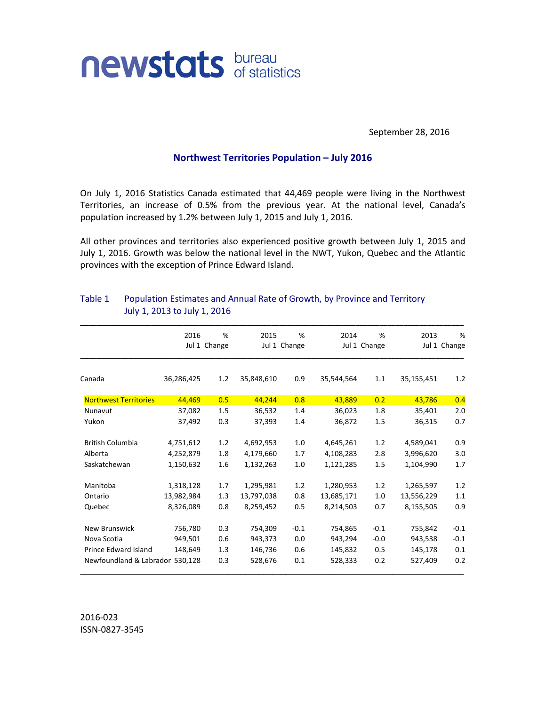

September 28, 2016

### **Northwest Territories Population – July 2016**

On July 1, 2016 Statistics Canada estimated that 44,469 people were living in the Northwest Territories, an increase of 0.5% from the previous year. At the national level, Canada's population increased by 1.2% between July 1, 2015 and July 1, 2016.

All other provinces and territories also experienced positive growth between July 1, 2015 and July 1, 2016. Growth was below the national level in the NWT, Yukon, Quebec and the Atlantic provinces with the exception of Prince Edward Island.

|                                 | 2016         | %       | 2015         | %       | 2014       | %            | 2013       | %            |
|---------------------------------|--------------|---------|--------------|---------|------------|--------------|------------|--------------|
|                                 | Jul 1 Change |         | Jul 1 Change |         |            | Jul 1 Change |            | Jul 1 Change |
| Canada                          | 36,286,425   | 1.2     | 35,848,610   | 0.9     | 35,544,564 | 1.1          | 35,155,451 | 1.2          |
| <b>Northwest Territories</b>    | 44,469       | 0.5     | 44,244       | 0.8     | 43,889     | 0.2          | 43,786     | 0.4          |
| Nunavut                         | 37,082       | 1.5     | 36,532       | 1.4     | 36,023     | 1.8          | 35,401     | 2.0          |
| Yukon                           | 37,492       | 0.3     | 37,393       | 1.4     | 36,872     | 1.5          | 36,315     | 0.7          |
| <b>British Columbia</b>         | 4,751,612    | 1.2     | 4,692,953    | 1.0     | 4,645,261  | 1.2          | 4,589,041  | 0.9          |
| Alberta                         | 4,252,879    | 1.8     | 4,179,660    | 1.7     | 4,108,283  | 2.8          | 3,996,620  | 3.0          |
| Saskatchewan                    | 1,150,632    | 1.6     | 1,132,263    | 1.0     | 1,121,285  | 1.5          | 1,104,990  | 1.7          |
| Manitoba                        | 1,318,128    | 1.7     | 1,295,981    | 1.2     | 1,280,953  | 1.2          | 1,265,597  | 1.2          |
| Ontario                         | 13,982,984   | 1.3     | 13,797,038   | 0.8     | 13,685,171 | 1.0          | 13,556,229 | $1.1\,$      |
| Quebec                          | 8,326,089    | 0.8     | 8,259,452    | 0.5     | 8,214,503  | 0.7          | 8,155,505  | 0.9          |
| New Brunswick                   | 756,780      | 0.3     | 754,309      | $-0.1$  | 754,865    | $-0.1$       | 755,842    | $-0.1$       |
| Nova Scotia                     | 949,501      | 0.6     | 943,373      | 0.0     | 943,294    | $-0.0$       | 943,538    | $-0.1$       |
| <b>Prince Edward Island</b>     | 148,649      | 1.3     | 146,736      | 0.6     | 145,832    | 0.5          | 145,178    | 0.1          |
| Newfoundland & Labrador 530.128 | 0.3          | 528,676 | 0.1          | 528,333 | 0.2        | 527,409      | 0.2        |              |

### Table 1 Population Estimates and Annual Rate of Growth, by Province and Territory July 1, 2013 to July 1, 2016

2016-023 ISSN-0827-3545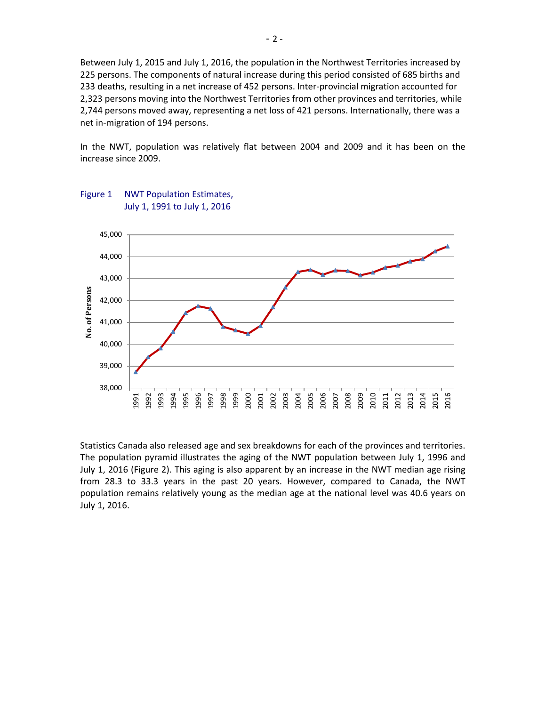Between July 1, 2015 and July 1, 2016, the population in the Northwest Territories increased by 225 persons. The components of natural increase during this period consisted of 685 births and 233 deaths, resulting in a net increase of 452 persons. Inter-provincial migration accounted for 2,323 persons moving into the Northwest Territories from other provinces and territories, while 2,744 persons moved away, representing a net loss of 421 persons. Internationally, there was a net in-migration of 194 persons.

In the NWT, population was relatively flat between 2004 and 2009 and it has been on the increase since 2009.



# Figure 1 NWT Population Estimates, July 1, 1991 to July 1, 2016

Statistics Canada also released age and sex breakdowns for each of the provinces and territories. The population pyramid illustrates the aging of the NWT population between July 1, 1996 and July 1, 2016 (Figure 2). This aging is also apparent by an increase in the NWT median age rising from 28.3 to 33.3 years in the past 20 years. However, compared to Canada, the NWT population remains relatively young as the median age at the national level was 40.6 years on July 1, 2016.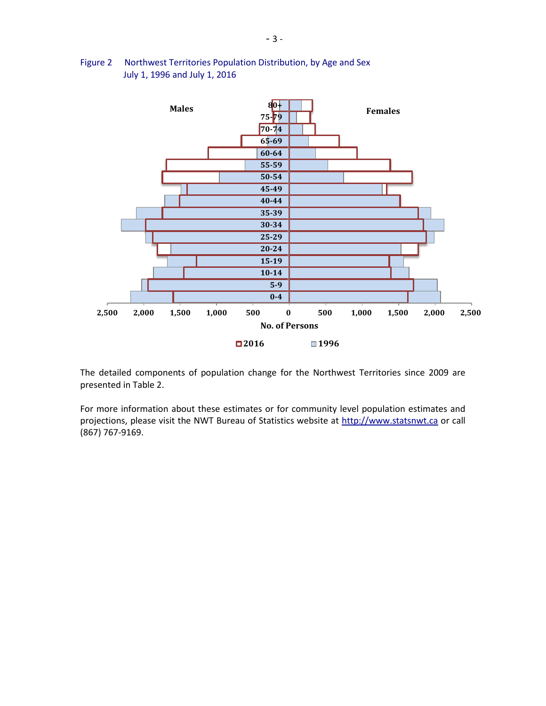

### Figure 2 Northwest Territories Population Distribution, by Age and Sex July 1, 1996 and July 1, 2016

The detailed components of population change for the Northwest Territories since 2009 are presented in Table 2.

For more information about these estimates or for community level population estimates and projections, please visit the NWT Bureau of Statistics website at http://www.statsnwt.ca or call (867) 767-9169.